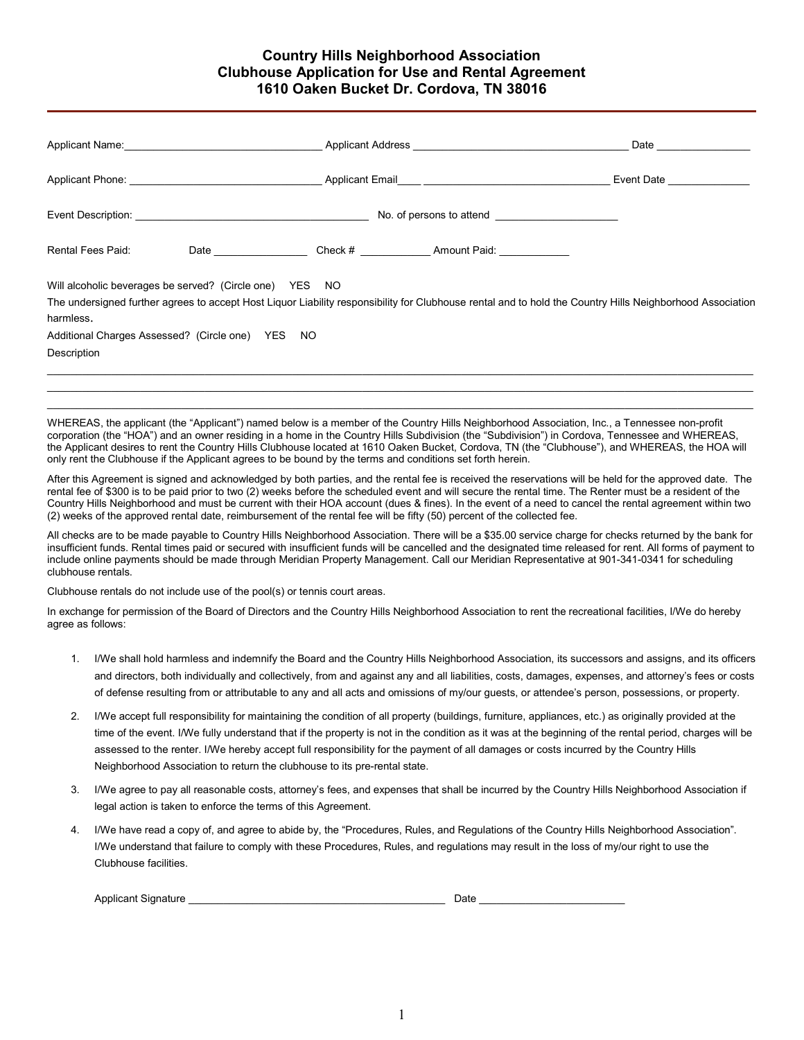# Country Hills Neighborhood Association Clubhouse Application for Use and Rental Agreement 1610 Oaken Bucket Dr. Cordova, TN 38016

|                                                                                                                                         |  |  | Date and the state of the state of the state of the state of the state of the state of the state of the state o                                           |  |
|-----------------------------------------------------------------------------------------------------------------------------------------|--|--|-----------------------------------------------------------------------------------------------------------------------------------------------------------|--|
|                                                                                                                                         |  |  | Event Date _______________                                                                                                                                |  |
|                                                                                                                                         |  |  |                                                                                                                                                           |  |
| Rental Fees Paid:                                                                                                                       |  |  |                                                                                                                                                           |  |
| Will alcoholic beverages be served? (Circle one) YES NO<br>harmless.<br>Additional Charges Assessed? (Circle one) YES NO<br>Description |  |  | The undersigned further agrees to accept Host Liquor Liability responsibility for Clubhouse rental and to hold the Country Hills Neighborhood Association |  |
|                                                                                                                                         |  |  | WHEREAS, the applicant (the "Applicant") named below is a member of the Country Hills Neighborhood Association, Inc., a Tennessee non-profit              |  |

corporation (the "HOA") and an owner residing in a home in the Country Hills Subdivision (the "Subdivision") in Cordova, Tennessee and WHEREAS, the Applicant desires to rent the Country Hills Clubhouse located at 1610 Oaken Bucket, Cordova, TN (the "Clubhouse"), and WHEREAS, the HOA will only rent the Clubhouse if the Applicant agrees to be bound by the terms and conditions set forth herein.

After this Agreement is signed and acknowledged by both parties, and the rental fee is received the reservations will be held for the approved date. The rental fee of \$300 is to be paid prior to two (2) weeks before the scheduled event and will secure the rental time. The Renter must be a resident of the Country Hills Neighborhood and must be current with their HOA account (dues & fines). In the event of a need to cancel the rental agreement within two (2) weeks of the approved rental date, reimbursement of the rental fee will be fifty (50) percent of the collected fee.

All checks are to be made payable to Country Hills Neighborhood Association. There will be a \$35.00 service charge for checks returned by the bank for insufficient funds. Rental times paid or secured with insufficient funds will be cancelled and the designated time released for rent. All forms of payment to include online payments should be made through Meridian Property Management. Call our Meridian Representative at 901-341-0341 for scheduling clubhouse rentals.

Clubhouse rentals do not include use of the pool(s) or tennis court areas.

In exchange for permission of the Board of Directors and the Country Hills Neighborhood Association to rent the recreational facilities, I/We do hereby agree as follows:

- 1. I/We shall hold harmless and indemnify the Board and the Country Hills Neighborhood Association, its successors and assigns, and its officers and directors, both individually and collectively, from and against any and all liabilities, costs, damages, expenses, and attorney's fees or costs of defense resulting from or attributable to any and all acts and omissions of my/our guests, or attendee's person, possessions, or property.
- 2. I/We accept full responsibility for maintaining the condition of all property (buildings, furniture, appliances, etc.) as originally provided at the time of the event. I/We fully understand that if the property is not in the condition as it was at the beginning of the rental period, charges will be assessed to the renter. I/We hereby accept full responsibility for the payment of all damages or costs incurred by the Country Hills Neighborhood Association to return the clubhouse to its pre-rental state.
- 3. I/We agree to pay all reasonable costs, attorney's fees, and expenses that shall be incurred by the Country Hills Neighborhood Association if legal action is taken to enforce the terms of this Agreement.
- 4. I/We have read a copy of, and agree to abide by, the "Procedures, Rules, and Regulations of the Country Hills Neighborhood Association". I/We understand that failure to comply with these Procedures, Rules, and regulations may result in the loss of my/our right to use the Clubhouse facilities.

| Applicant Signature | Date |  |
|---------------------|------|--|
|                     |      |  |